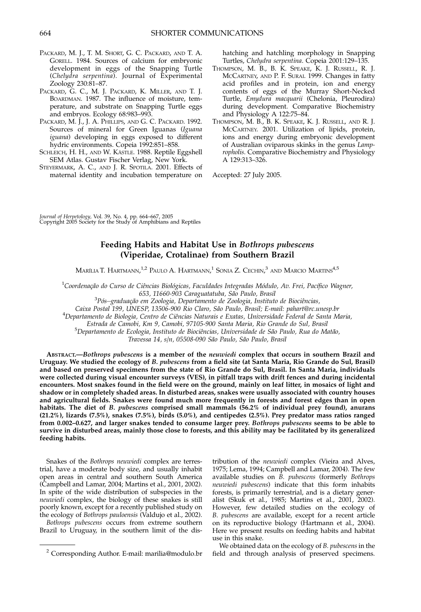- PACKARD, M. J., T. M. SHORT, G. C. PACKARD, AND T. A. GORELL. 1984. Sources of calcium for embryonic development in eggs of the Snapping Turtle (Chelydra serpentina). Journal of Experimental Zoology 230:81–87.
- PACKARD, G. C., M. J. PACKARD, K. MILLER, AND T. J. BOARDMAN. 1987. The influence of moisture, temperature, and substrate on Snapping Turtle eggs and embryos. Ecology 68:983–993.
- PACKARD, M. J., J. A. PHILLIPS, AND G. C. PACKARD. 1992. Sources of mineral for Green Iguanas (Iguana iguana) developing in eggs exposed to different hydric environments. Copeia 1992:851–858.
- SCHLEICH, H. H., AND W. KÄSTLE. 1988. Reptile Eggshell SEM Atlas. Gustav Fischer Verlag, New York.
- STEYERMARK, A. C., AND J. R. SPOTILA. 2001. Effects of maternal identity and incubation temperature on

hatching and hatchling morphology in Snapping Turtles, Chelydra serpentina. Copeia 2001:129–135.

- THOMPSON, M. B., B. K. SPEAKE, K. J. RUSSELL, R. J. MCCARTNEY, AND P. F. SURAI. 1999. Changes in fatty acid profiles and in protein, ion and energy contents of eggs of the Murray Short-Necked Turtle, Emydura macquarii (Chelonia, Pleurodira) during development. Comparative Biochemistry and Physiology A 122:75–84.
- THOMPSON, M. B., B. K. SPEAKE, K. J. RUSSELL, AND R. J. MCCARTNEY. 2001. Utilization of lipids, protein, ions and energy during embryonic development of Australian oviparous skinks in the genus Lampropholis. Comparative Biochemistry and Physiology A 129:313–326.

Accepted: 27 July 2005.

Journal of Herpetology, Vol. 39, No. 4, pp. 664–667, 2005 Copyright 2005 Society for the Study of Amphibians and Reptiles

## Feeding Habits and Habitat Use in Bothrops pubescens (Viperidae, Crotalinae) from Southern Brazil

Marília T. Hartmann, $^{1,2}$  Paulo A. Hartmann, $^{1}$  Sonia Z. Cechin, $^{3}$  and Marcio Martins $^{4,5}$ 

 $^1$ Coordenação do Curso de Ciências Biológicas, Faculdades Integradas Módulo, Av. Frei, Pacífico Wagner,

<sup>3</sup>Pós–graduação em Zoologia, Oeraguatatuba, São Paulo, Brasil<br>3Pós–graduação em Zoologia, Departamento de Zoologia, Instituto de Biociências,

Caixa Postal 199, UNESP, 13506-900 Rio Claro, São Paulo, Brasil; E-mail: pahart@rc.unesp.br

<sup>4</sup>Departamento de Biologia, Centro de Ciências Naturais e Exatas, Universidade Federal de Santa Maria,

Estrada de Camobi, Km 9, Camobi, 97105-900 Santa Maria, Rio Grande do Sul, Brasil <sup>5</sup>

<sup>5</sup>Departamento de Ecologia, Instituto de Biociências, Universidade de São Paulo, Rua do Matão,

Travessa 14, s/n, 05508-090 São Paulo, São Paulo, Brasil

ABSTRACT.—Bothrops pubescens is a member of the neuwiedi complex that occurs in southern Brazil and Uruguay. We studied the ecology of B. pubescens from a field site (at Santa Maria, Rio Grande do Sul, Brasil) and based on preserved specimens from the state of Rio Grande do Sul, Brasil. In Santa Maria, individuals were collected during visual encounter surveys (VES), in pitfall traps with drift fences and during incidental encounters. Most snakes found in the field were on the ground, mainly on leaf litter, in mosaics of light and shadow or in completely shaded areas. In disturbed areas, snakes were usually associated with country houses and agricultural fields. Snakes were found much more frequently in forests and forest edges than in open habitats. The diet of B. pubescens comprised small mammals (56.2% of individual prey found), anurans (21.2%), lizards (7.5%), snakes (7.5%), birds (5.0%), and centipedes (2.5%). Prey predator mass ratios ranged from 0.002–0.627, and larger snakes tended to consume larger prey. Bothrops pubescens seems to be able to survive in disturbed areas, mainly those close to forests, and this ability may be facilitated by its generalized feeding habits.

Snakes of the Bothrops neuwiedi complex are terrestrial, have a moderate body size, and usually inhabit open areas in central and southern South America (Campbell and Lamar, 2004; Martins et al., 2001, 2002). In spite of the wide distribution of subspecies in the neuwiedi complex, the biology of these snakes is still poorly known, except for a recently published study on the ecology of Bothrops pauloensis (Valdujo et al., 2002).

Bothrops pubescens occurs from extreme southern Brazil to Uruguay, in the southern limit of the distribution of the neuwiedi complex (Vieira and Alves, 1975; Lema, 1994; Campbell and Lamar, 2004). The few available studies on B. pubescens (formerly Bothrops neuwiedi pubescens) indicate that this form inhabits forests, is primarily terrestrial, and is a dietary generalist (Skuk et al., 1985; Martins et al., 2001, 2002). However, few detailed studies on the ecology of B. pubescens are available, except for a recent article on its reproductive biology (Hartmann et al., 2004). Here we present results on feeding habits and habitat use in this snake.

We obtained data on the ecology of B. pubescens in the <sup>2</sup> Corresponding Author. E-mail: marilia@modulo.br field and through analysis of preserved specimens.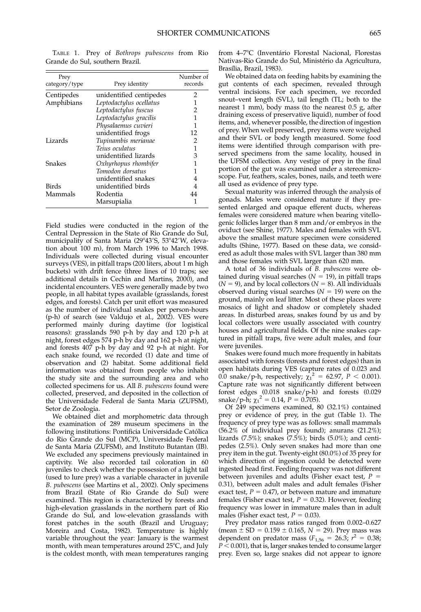TABLE 1. Prey of Bothrops pubescens from Rio Grande do Sul, southern Brazil.

| Prey<br>category/type | Prey identity           | Number of<br>records |
|-----------------------|-------------------------|----------------------|
| Centipedes            | unidentified centipedes | 2                    |
| Amphibians            | Leptodactylus ocellatus |                      |
|                       | Leptodactylus fuscus    | 2                    |
|                       | Leptodactylus gracilis  | 1                    |
|                       | Physalaemus cuvieri     | 1                    |
|                       | unidentified frogs      | 12                   |
| Lizards               | Tupinambis merianae     | 2                    |
|                       | Teius oculatus          | 1                    |
|                       | unidentified lizards    | 3                    |
| Snakes                | Oxhyrhopus rhombifer    | 1                    |
|                       | Tomodon dorsatus        | 1                    |
|                       | unidentified snakes     | 4                    |
| Birds                 | unidentified birds      |                      |
| Mammals               | Rodentia                | 44                   |
|                       | Marsupialia             |                      |

Field studies were conducted in the region of the Central Depression in the State of Rio Grande do Sul, municipality of Santa Maria (29°43'S, 53°42'W, elevation about 100 m), from March 1996 to March 1998. Individuals were collected during visual encounter surveys (VES), in pitfall traps (200 liters, about 1 m high buckets) with drift fence (three lines of 10 traps; see additional details in Cechin and Martins, 2000), and incidental encounters. VES were generally made by two people, in all habitat types available (grasslands, forest edges, and forests). Catch per unit effort was measured as the number of individual snakes per person-hours (p-h) of search (see Valdujo et al., 2002). VES were performed mainly during daytime (for logistical reasons): grasslands 590 p-h by day and 120 p-h at night, forest edges 574 p-h by day and 162 p-h at night, and forests 407 p-h by day and 92 p-h at night. For each snake found, we recorded (1) date and time of observation and (2) habitat. Some additional field information was obtained from people who inhabit the study site and the surrounding area and who collected specimens for us. All B. pubescens found were collected, preserved, and deposited in the collection of the Universidade Federal de Santa Maria (ZUFSM), Setor de Zoologia.

We obtained diet and morphometric data through the examination of 289 museum specimens in the following institutions: Pontificia Universidade Católica do Rio Grande do Sul (MCP), Universidade Federal de Santa Maria (ZUFSM), and Instituto Butantan (IB). We excluded any specimens previously maintained in captivity. We also recorded tail coloration in 60 juveniles to check whether the possession of a light tail (used to lure prey) was a variable character in juvenile B. pubescens (see Martins et al., 2002). Only specimens from Brazil (State of Rio Grande do Sul) were examined. This region is characterized by forests and high-elevation grasslands in the northern part of Rio Grande do Sul, and low-elevation grasslands with forest patches in the south (Brazil and Uruguay; Moreira and Costa, 1982). Temperature is highly variable throughout the year: January is the warmest month, with mean temperatures around  $25^{\circ}$ C, and July is the coldest month, with mean temperatures ranging

from 4–7°C (Inventário Florestal Nacional, Florestas Nativas-Rio Grande do Sul, Ministério da Agricultura, Brasília, Brazil, 1983).

We obtained data on feeding habits by examining the gut contents of each specimen, revealed through ventral incisions. For each specimen, we recorded snout–vent length (SVL), tail length (TL; both to the nearest 1 mm), body mass (to the nearest 0.5 g, after draining excess of preservative liquid), number of food items, and, whenever possible, the direction of ingestion of prey. When well preserved, prey items were weighed and their SVL or body length measured. Some food items were identified through comparison with preserved specimens from the same locality, housed in the UFSM collection. Any vestige of prey in the final portion of the gut was examined under a stereomicroscope. Fur, feathers, scales, bones, nails, and teeth were all used as evidence of prey type.

Sexual maturity was inferred through the analysis of gonads. Males were considered mature if they presented enlarged and opaque efferent ducts, whereas females were considered mature when bearing vitellogenic follicles larger than 8 mm and/or embryos in the oviduct (see Shine, 1977). Males and females with SVL above the smallest mature specimen were considered adults (Shine, 1977). Based on these data, we considered as adult those males with SVL larger than 380 mm and those females with SVL larger than 620 mm.

A total of 36 individuals of B. pubescens were obtained during visual searches ( $N = 19$ ), in pitfall traps  $(N = 9)$ , and by local collectors  $(N = 8)$ . All individuals observed during visual searches  $(N = 19)$  were on the ground, mainly on leaf litter. Most of these places were mosaics of light and shadow or completely shaded areas. In disturbed areas, snakes found by us and by local collectors were usually associated with country houses and agricultural fields. Of the nine snakes captured in pitfall traps, five were adult males, and four were juveniles.

Snakes were found much more frequently in habitats associated with forests (forests and forest edges) than in open habitats during VES (capture rates of 0.023 and 0.0 snake/p-h, respectively;  $\chi_1^2 = 62.97$ ,  $P < 0.001$ ). Capture rate was not significantly different between forest edges (0.018 snake/p-h) and forests (0.029 snake/p-h;  $\chi_1^2 = 0.14$ ,  $P = 0.705$ ).

Of 249 specimens examined, 80 (32.1%) contained prey or evidence of prey, in the gut (Table 1). The frequency of prey type was as follows: small mammals (56.2% of individual prey found); anurans (21.2%); lizards (7.5%); snakes (7.5%); birds (5.0%); and centipedes (2.5%). Only seven snakes had more than one prey item in the gut. Twenty-eight (80.0%) of 35 prey for which direction of ingestion could be detected were ingested head first. Feeding frequency was not different between juveniles and adults (Fisher exact test,  $P =$ 0.31), between adult males and adult females (Fisher exact test,  $P = 0.47$ ), or between mature and immature females (Fisher exact test,  $P = 0.32$ ). However, feeding frequency was lower in immature males than in adult males (Fisher exact test,  $P = 0.03$ ).

Prey predator mass ratios ranged from 0.002–0.627 (mean  $\pm$  SD = 0.159  $\pm$  0.165, N = 29). Prey mass was dependent on predator mass  $(F_{1,56} = 26.3; r^2 = 0.38;$  $P < 0.001$ ), that is, larger snakes tended to consume larger prey. Even so, large snakes did not appear to ignore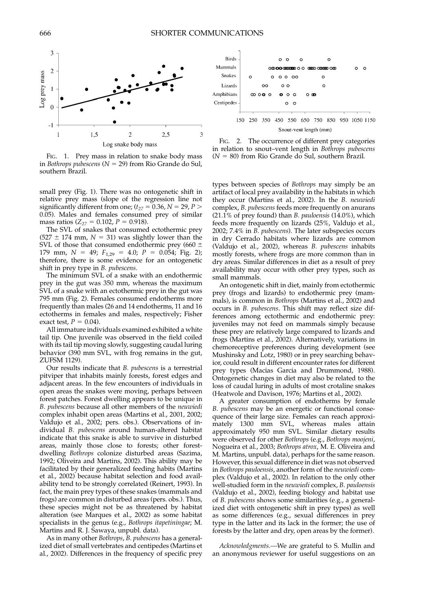

FIG. 1. Prey mass in relation to snake body mass in Bothrops pubescens ( $N = 29$ ) from Rio Grande do Sul, southern Brazil.

small prey (Fig. 1). There was no ontogenetic shift in relative prey mass (slope of the regression line not significantly different from one;  $(t_{27} = 0.36, N = 29, P >$ 0.05). Males and females consumed prey of similar mass ratios ( $Z_{27} = 0.102$ ,  $P = 0.918$ ).

The SVL of snakes that consumed ectothermic prey  $(527 \pm 174 \text{ mm}, N = 31)$  was slightly lower than the SVL of those that consumed endothermic prey (660  $\pm$ 179 mm,  $N = 49$ ;  $F_{1,29} = 4.0$ ;  $P = 0.054$ ; Fig. 2); therefore, there is some evidence for an ontogenetic shift in prey type in B. pubescens.

The minimum SVL of a snake with an endothermic prey in the gut was 350 mm, whereas the maximum SVL of a snake with an ectothermic prey in the gut was 795 mm (Fig. 2). Females consumed endotherms more frequently than males (26 and 14 endotherms, 11 and 16 ectotherms in females and males, respectively; Fisher exact test,  $P = 0.04$ .

All immature individuals examined exhibited a white tail tip. One juvenile was observed in the field coiled with its tail tip moving slowly, suggesting caudal luring behavior (390 mm SVL, with frog remains in the gut, ZUFSM 1129).

Our results indicate that B. pubescens is a terrestrial pitviper that inhabits mainly forests, forest edges and adjacent areas. In the few encounters of individuals in open areas the snakes were moving, perhaps between forest patches. Forest dwelling appears to be unique in B. pubescens because all other members of the neuwiedi complex inhabit open areas (Martins et al., 2001, 2002; Valdujo et al., 2002; pers. obs.). Observations of individual B. pubescens around human-altered habitat indicate that this snake is able to survive in disturbed areas, mainly those close to forests; other forestdwelling Bothrops colonize disturbed areas (Sazima, 1992; Oliveira and Martins, 2002). This ability may be facilitated by their generalized feeding habits (Martins et al., 2002) because habitat selection and food availability tend to be strongly correlated (Reinert, 1993). In fact, the main prey types of these snakes (mammals and frogs) are common in disturbed areas (pers. obs.). Thus, these species might not be as threatened by habitat alteration (see Marques et al., 2002) as some habitat specialists in the genus (e.g., Bothrops itapetiningae; M. Martins and R. J. Sawaya, unpubl. data).

As in many other Bothrops, B. pubescens has a generalized diet of small vertebrates and centipedes (Martins et al., 2002). Differences in the frequency of specific prey



FIG. 2. The occurrence of different prey categories in relation to snout–vent length in Bothrops pubescens  $(N = 80)$  from Rio Grande do Sul, southern Brazil.

types between species of Bothrops may simply be an artifact of local prey availability in the habitats in which they occur (Martins et al., 2002). In the B. neuwiedi complex, B. pubescens feeds more frequently on anurans (21.1% of prey found) than B. pauloensis (14.0%), which feeds more frequently on lizards (25%, Valdujo et al., 2002; 7.4% in B. pubescens). The later subspecies occurs in dry Cerrado habitats where lizards are common (Valdujo et al., 2002), whereas B. pubescens inhabits mostly forests, where frogs are more common than in dry areas. Similar differences in diet as a result of prey availability may occur with other prey types, such as small mammals.

An ontogenetic shift in diet, mainly from ectothermic prey (frogs and lizards) to endothermic prey (mammals), is common in Bothrops (Martins et al., 2002) and occurs in B. pubescens. This shift may reflect size differences among ectothermic and endothermic prey: juveniles may not feed on mammals simply because these prey are relatively large compared to lizards and frogs (Martins et al., 2002). Alternatively, variations in chemoreceptive preferences during development (see Mushinsky and Lotz, 1980) or in prey searching behavior, could result in different encounter rates for different prey types (Macias Garcia and Drummond, 1988). Ontogenetic changes in diet may also be related to the loss of caudal luring in adults of most crotaline snakes (Heatwole and Davison, 1976; Martins et al., 2002).

A greater consumption of endotherms by female B. pubescens may be an energetic or functional consequence of their large size. Females can reach approximately 1300 mm SVL, whereas males attain approximately 950 mm SVL. Similar dietary results were observed for other Bothrops (e.g., Bothrops moojeni, Nogueira et al., 2003; Bothrops atrox, M. E. Oliveira and M. Martins, unpubl. data), perhaps for the same reason. However, this sexual difference in diet was not observed in Bothrops pauloensis, another form of the neuwiedi complex (Valdujo et al., 2002). In relation to the only other well-studied form in the neuwiedi complex, B. pauloensis (Valdujo et al., 2002), feeding biology and habitat use of B. pubescens shows some similarities (e.g., a generalized diet with ontogenetic shift in prey types) as well as some differences (e.g., sexual differences in prey type in the latter and its lack in the former; the use of forests by the latter and dry, open areas by the former).

Acknowledgments.—We are grateful to S. Mullin and an anonymous reviewer for useful suggestions on an